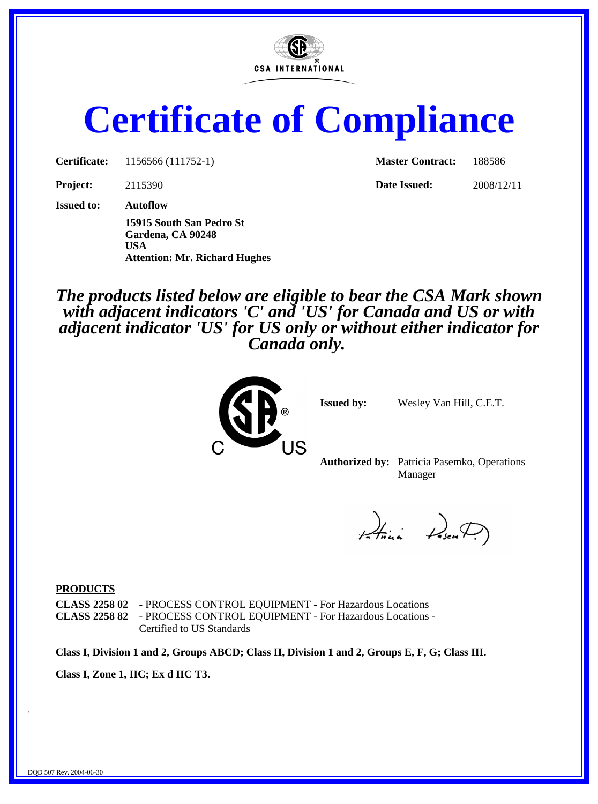

# **Certificate of Compliance**

**Certificate:** 1156566 (111752-1) **Master Contract:** 188586

**Project:** 2115390 **Date Issued:** 2008/12/11

**Issued to: Autoflow**

**15915 South San Pedro St Gardena, CA 90248 USA Attention: Mr. Richard Hughes**

*The products listed below are eligible to bear the CSA Mark shown with adjacent indicators 'C' and 'US' for Canada and US or with adjacent indicator 'US' for US only or without either indicator for Canada only.*



**Issued by:** Wesley Van Hill, C.E.T.

**Authorized by:** Patricia Pasemko, Operations Manager

Atini Den

#### **PRODUCTS**

**CLASS 2258 02** - PROCESS CONTROL EQUIPMENT - For Hazardous Locations **CLASS 2258 82** - PROCESS CONTROL EQUIPMENT - For Hazardous Locations - Certified to US Standards

**Class I, Division 1 and 2, Groups ABCD; Class II, Division 1 and 2, Groups E, F, G; Class III.**

**Class I, Zone 1, IIC; Ex d IIC T3.**

.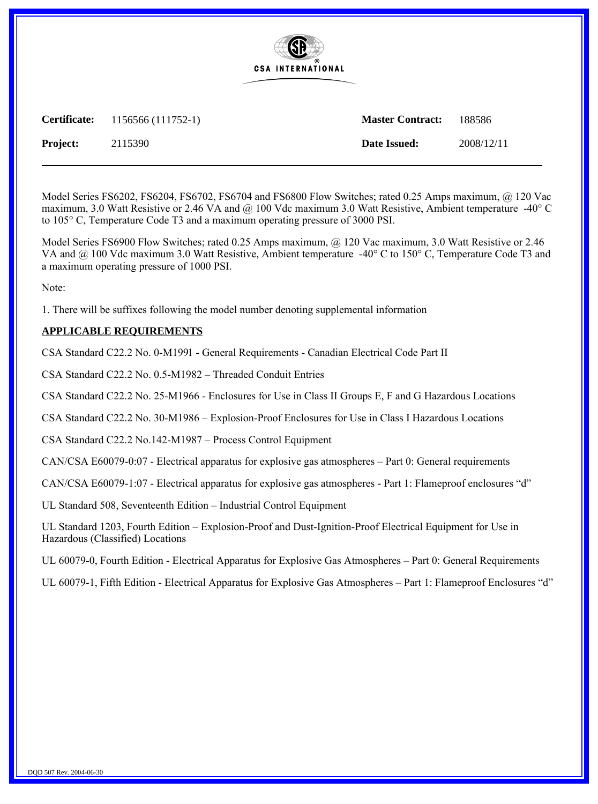

**Certificate:** 1156566 (111752-1) **Master Contract:** 188586

**Project:** 2115390 **Date Issued:** 2008/12/11

Model Series FS6202, FS6204, FS6702, FS6704 and FS6800 Flow Switches; rated 0.25 Amps maximum, @ 120 Vac maximum, 3.0 Watt Resistive or 2.46 VA and  $@$  100 Vdc maximum 3.0 Watt Resistive, Ambient temperature -40° C to  $105^{\circ}$  C, Temperature Code T3 and a maximum operating pressure of 3000 PSI.

Model Series FS6900 Flow Switches; rated 0.25 Amps maximum, @ 120 Vac maximum, 3.0 Watt Resistive or 2.46 VA and  $@100$  Vdc maximum 3.0 Watt Resistive, Ambient temperature -40° C to 150° C, Temperature Code T3 and a maximum operating pressure of 1000 PSI.

Note:

1. There will be suffixes following the model number denoting supplemental information

#### **APPLICABLE REQUIREMENTS**

CSA Standard C22.2 No. 0-M1991 - General Requirements - Canadian Electrical Code Part II

CSA Standard C22.2 No. 0.5-M1982 - Threaded Conduit Entries

CSA Standard C22.2 No. 25-M1966 - Enclosures for Use in Class II Groups E, F and G Hazardous Locations

CSA Standard C22.2 No. 30-M1986 - Explosion-Proof Enclosures for Use in Class I Hazardous Locations

CSA Standard C22.2 No.142-M1987 - Process Control Equipment

CAN/CSA E60079-0:07 - Electrical apparatus for explosive gas atmospheres – Part 0: General requirements

CAN/CSA E60079-1:07 - Electrical apparatus for explosive gas atmospheres - Part 1: Flameproof enclosures "d"

UL Standard 508, Seventeenth Edition - Industrial Control Equipment

UL Standard 1203, Fourth Edition – Explosion-Proof and Dust-Ignition-Proof Electrical Equipment for Use in Hazardous (Classified) Locations

UL 60079-0, Fourth Edition - Electrical Apparatus for Explosive Gas Atmospheres – Part 0: General Requirements

UL 60079-1, Fifth Edition - Electrical Apparatus for Explosive Gas Atmospheres – Part 1: Flameproof Enclosures "d"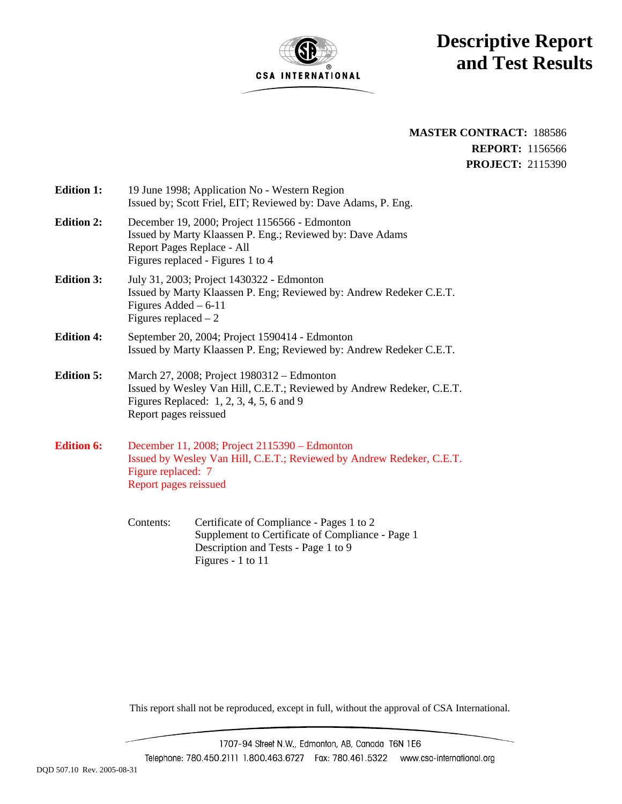

### **Descriptive Report and Test Results**

**MASTER CONTRACT:** 188586 **REPORT:** 1156566 **PROJECT:** 2115390

| <b>Edition 1:</b> | 19 June 1998; Application No - Western Region<br>Issued by; Scott Friel, EIT; Reviewed by: Dave Adams, P. Eng.                                                                           |  |  |  |
|-------------------|------------------------------------------------------------------------------------------------------------------------------------------------------------------------------------------|--|--|--|
| <b>Edition 2:</b> | December 19, 2000; Project 1156566 - Edmonton<br>Issued by Marty Klaassen P. Eng.; Reviewed by: Dave Adams<br>Report Pages Replace - All<br>Figures replaced - Figures 1 to 4            |  |  |  |
| <b>Edition 3:</b> | July 31, 2003; Project 1430322 - Edmonton<br>Issued by Marty Klaassen P. Eng; Reviewed by: Andrew Redeker C.E.T.<br>Figures Added $-6-11$<br>Figures replaced $-2$                       |  |  |  |
| <b>Edition 4:</b> | September 20, 2004; Project 1590414 - Edmonton<br>Issued by Marty Klaassen P. Eng; Reviewed by: Andrew Redeker C.E.T.                                                                    |  |  |  |
| <b>Edition 5:</b> | March 27, 2008; Project 1980312 – Edmonton<br>Issued by Wesley Van Hill, C.E.T.; Reviewed by Andrew Redeker, C.E.T.<br>Figures Replaced: 1, 2, 3, 4, 5, 6 and 9<br>Report pages reissued |  |  |  |
| <b>Edition 6:</b> | December 11, 2008; Project 2115390 – Edmonton<br>Issued by Wesley Van Hill, C.E.T.; Reviewed by Andrew Redeker, C.E.T.<br>Figure replaced: 7<br>Report pages reissued                    |  |  |  |

Contents: Certificate of Compliance - Pages 1 to 2 Supplement to Certificate of Compliance - Page 1 Description and Tests - Page 1 to 9 Figures - 1 to 11

This report shall not be reproduced, except in full, without the approval of CSA International.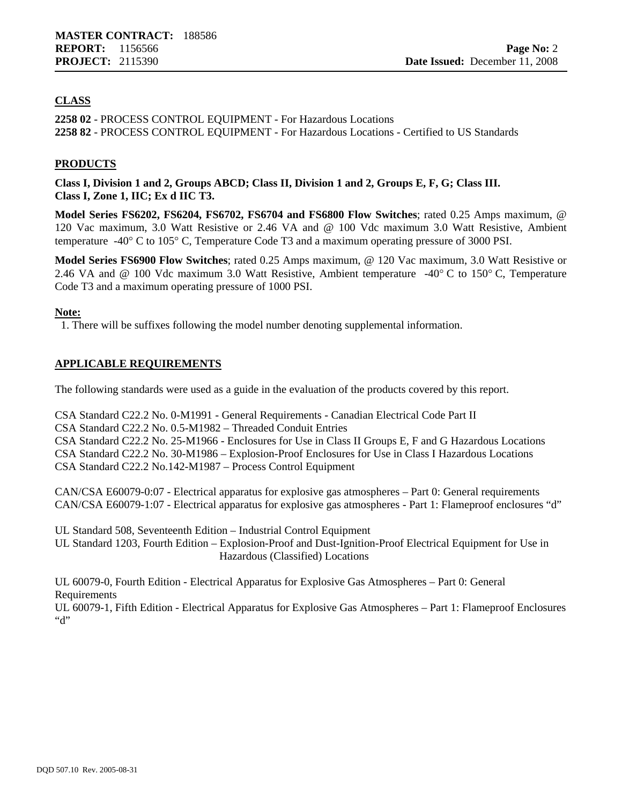#### **CLASS**

**2258 02** - PROCESS CONTROL EQUIPMENT - For Hazardous Locations **2258 82** - PROCESS CONTROL EQUIPMENT - For Hazardous Locations - Certified to US Standards

#### **PRODUCTS**

**Class I, Division 1 and 2, Groups ABCD; Class II, Division 1 and 2, Groups E, F, G; Class III. Class I, Zone 1, IIC; Ex d IIC T3.**

**Model Series FS6202, FS6204, FS6702, FS6704 and FS6800 Flow Switches**; rated 0.25 Amps maximum, @ 120 Vac maximum, 3.0 Watt Resistive or 2.46 VA and @ 100 Vdc maximum 3.0 Watt Resistive, Ambient temperature -40° C to 105° C, Temperature Code T3 and a maximum operating pressure of 3000 PSI.

**Model Series FS6900 Flow Switches**; rated 0.25 Amps maximum, @ 120 Vac maximum, 3.0 Watt Resistive or 2.46 VA and @ 100 Vdc maximum 3.0 Watt Resistive, Ambient temperature -40° C to 150° C, Temperature Code T3 and a maximum operating pressure of 1000 PSI.

#### **Note:**

1. There will be suffixes following the model number denoting supplemental information.

#### **APPLICABLE REQUIREMENTS**

The following standards were used as a guide in the evaluation of the products covered by this report.

CSA Standard C22.2 No. 0-M1991 - General Requirements - Canadian Electrical Code Part II CSA Standard C22.2 No. 0.5-M1982 – Threaded Conduit Entries CSA Standard C22.2 No. 25-M1966 - Enclosures for Use in Class II Groups E, F and G Hazardous Locations CSA Standard C22.2 No. 30-M1986 – Explosion-Proof Enclosures for Use in Class I Hazardous Locations CSA Standard C22.2 No.142-M1987 – Process Control Equipment

CAN/CSA E60079-0:07 - Electrical apparatus for explosive gas atmospheres – Part 0: General requirements CAN/CSA E60079-1:07 - Electrical apparatus for explosive gas atmospheres - Part 1: Flameproof enclosures "d"

UL Standard 508, Seventeenth Edition – Industrial Control Equipment UL Standard 1203, Fourth Edition – Explosion-Proof and Dust-Ignition-Proof Electrical Equipment for Use in Hazardous (Classified) Locations

UL 60079-0, Fourth Edition - Electrical Apparatus for Explosive Gas Atmospheres – Part 0: General **Requirements** 

UL 60079-1, Fifth Edition - Electrical Apparatus for Explosive Gas Atmospheres – Part 1: Flameproof Enclosures  $``d"$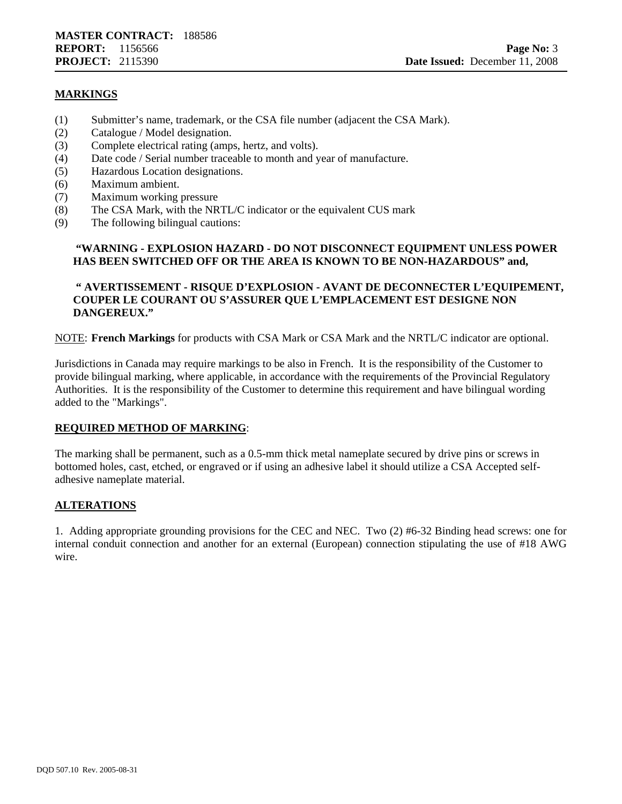#### **MARKINGS**

- (1) Submitter's name, trademark, or the CSA file number (adjacent the CSA Mark).
- (2) Catalogue / Model designation.
- (3) Complete electrical rating (amps, hertz, and volts).
- (4) Date code / Serial number traceable to month and year of manufacture.
- (5) Hazardous Location designations.
- (6) Maximum ambient.
- (7) Maximum working pressure
- (8) The CSA Mark, with the NRTL/C indicator or the equivalent CUS mark
- (9) The following bilingual cautions:

#### **"WARNING - EXPLOSION HAZARD - DO NOT DISCONNECT EQUIPMENT UNLESS POWER HAS BEEN SWITCHED OFF OR THE AREA IS KNOWN TO BE NON-HAZARDOUS" and,**

#### **" AVERTISSEMENT - RISQUE D'EXPLOSION - AVANT DE DECONNECTER L'EQUIPEMENT, COUPER LE COURANT OU S'ASSURER QUE L'EMPLACEMENT EST DESIGNE NON DANGEREUX."**

NOTE: **French Markings** for products with CSA Mark or CSA Mark and the NRTL/C indicator are optional.

Jurisdictions in Canada may require markings to be also in French. It is the responsibility of the Customer to provide bilingual marking, where applicable, in accordance with the requirements of the Provincial Regulatory Authorities. It is the responsibility of the Customer to determine this requirement and have bilingual wording added to the "Markings".

#### **REQUIRED METHOD OF MARKING**:

The marking shall be permanent, such as a 0.5-mm thick metal nameplate secured by drive pins or screws in bottomed holes, cast, etched, or engraved or if using an adhesive label it should utilize a CSA Accepted selfadhesive nameplate material.

#### **ALTERATIONS**

1. Adding appropriate grounding provisions for the CEC and NEC. Two (2) #6-32 Binding head screws: one for internal conduit connection and another for an external (European) connection stipulating the use of #18 AWG wire.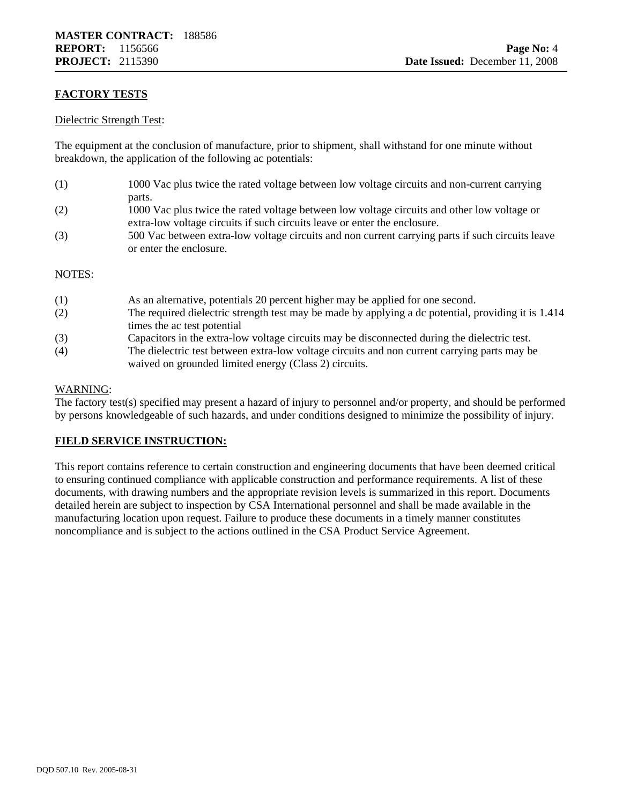#### **FACTORY TESTS**

#### Dielectric Strength Test:

The equipment at the conclusion of manufacture, prior to shipment, shall withstand for one minute without breakdown, the application of the following ac potentials:

- (1) 1000 Vac plus twice the rated voltage between low voltage circuits and non-current carrying parts.
- (2) 1000 Vac plus twice the rated voltage between low voltage circuits and other low voltage or extra-low voltage circuits if such circuits leave or enter the enclosure.
- (3) 500 Vac between extra-low voltage circuits and non current carrying parts if such circuits leave or enter the enclosure.

#### NOTES:

| (1) | As an alternative, potentials 20 percent higher may be applied for one second.                      |
|-----|-----------------------------------------------------------------------------------------------------|
| (2) | The required dielectric strength test may be made by applying a dc potential, providing it is 1.414 |
|     | times the ac test potential                                                                         |
| (3) | Capacitors in the extra-low voltage circuits may be disconnected during the dielectric test.        |
| (4) | The dielectric test between extra-low voltage circuits and non current carrying parts may be        |
|     | waived on grounded limited energy (Class 2) circuits.                                               |

#### WARNING:

The factory test(s) specified may present a hazard of injury to personnel and/or property, and should be performed by persons knowledgeable of such hazards, and under conditions designed to minimize the possibility of injury.

#### **FIELD SERVICE INSTRUCTION:**

This report contains reference to certain construction and engineering documents that have been deemed critical to ensuring continued compliance with applicable construction and performance requirements. A list of these documents, with drawing numbers and the appropriate revision levels is summarized in this report. Documents detailed herein are subject to inspection by CSA International personnel and shall be made available in the manufacturing location upon request. Failure to produce these documents in a timely manner constitutes noncompliance and is subject to the actions outlined in the CSA Product Service Agreement.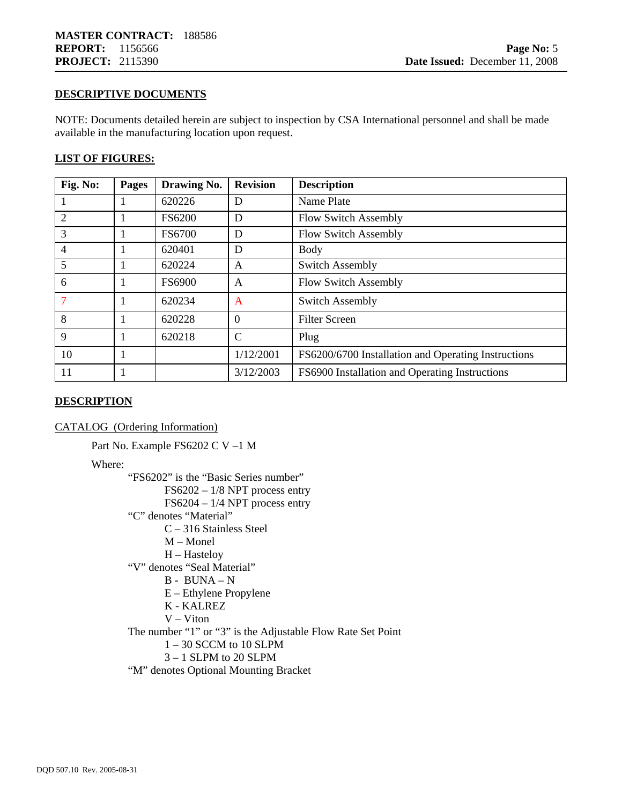#### **DESCRIPTIVE DOCUMENTS**

NOTE: Documents detailed herein are subject to inspection by CSA International personnel and shall be made available in the manufacturing location upon request.

#### **LIST OF FIGURES:**

| Fig. No:       | Pages | Drawing No.   | <b>Revision</b> | <b>Description</b>                                  |
|----------------|-------|---------------|-----------------|-----------------------------------------------------|
|                |       | 620226        | D               | Name Plate                                          |
| 2              |       | <b>FS6200</b> | D               | <b>Flow Switch Assembly</b>                         |
| 3              |       | FS6700        | D               | Flow Switch Assembly                                |
| $\overline{4}$ |       | 620401        | D               | <b>Body</b>                                         |
| 5              |       | 620224        | A               | <b>Switch Assembly</b>                              |
| 6              |       | <b>FS6900</b> | A               | <b>Flow Switch Assembly</b>                         |
| 7              |       | 620234        | $\mathbf{A}$    | <b>Switch Assembly</b>                              |
| 8              |       | 620228        | $\Omega$        | <b>Filter Screen</b>                                |
| 9              |       | 620218        | $\mathcal{C}$   | Plug                                                |
| 10             |       |               | 1/12/2001       | FS6200/6700 Installation and Operating Instructions |
| 11             |       |               | 3/12/2003       | FS6900 Installation and Operating Instructions      |

#### **DESCRIPTION**

CATALOG (Ordering Information)

Part No. Example FS6202 C V –1 M

Where:

"FS6202" is the "Basic Series number"

FS6202 – 1/8 NPT process entry

FS6204 – 1/4 NPT process entry

- "C" denotes "Material"
	- C 316 Stainless Steel
		- M Monel
		- H Hasteloy

"V" denotes "Seal Material"

- B BUNA N
- E Ethylene Propylene
- K KALREZ
- V Viton

The number "1" or "3" is the Adjustable Flow Rate Set Point

- $1 30$  SCCM to 10 SLPM
- 3 1 SLPM to 20 SLPM
- "M" denotes Optional Mounting Bracket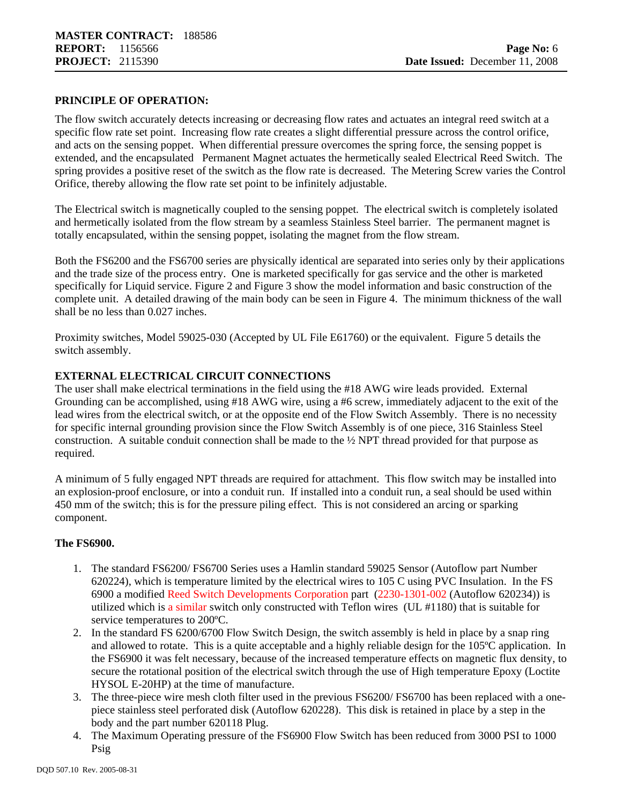#### **PRINCIPLE OF OPERATION:**

The flow switch accurately detects increasing or decreasing flow rates and actuates an integral reed switch at a specific flow rate set point. Increasing flow rate creates a slight differential pressure across the control orifice, and acts on the sensing poppet. When differential pressure overcomes the spring force, the sensing poppet is extended, and the encapsulated Permanent Magnet actuates the hermetically sealed Electrical Reed Switch. The spring provides a positive reset of the switch as the flow rate is decreased. The Metering Screw varies the Control Orifice, thereby allowing the flow rate set point to be infinitely adjustable.

The Electrical switch is magnetically coupled to the sensing poppet. The electrical switch is completely isolated and hermetically isolated from the flow stream by a seamless Stainless Steel barrier. The permanent magnet is totally encapsulated, within the sensing poppet, isolating the magnet from the flow stream.

Both the FS6200 and the FS6700 series are physically identical are separated into series only by their applications and the trade size of the process entry. One is marketed specifically for gas service and the other is marketed specifically for Liquid service. Figure 2 and Figure 3 show the model information and basic construction of the complete unit. A detailed drawing of the main body can be seen in Figure 4. The minimum thickness of the wall shall be no less than 0.027 inches.

Proximity switches, Model 59025-030 (Accepted by UL File E61760) or the equivalent. Figure 5 details the switch assembly.

#### **EXTERNAL ELECTRICAL CIRCUIT CONNECTIONS**

The user shall make electrical terminations in the field using the #18 AWG wire leads provided. External Grounding can be accomplished, using #18 AWG wire, using a #6 screw, immediately adjacent to the exit of the lead wires from the electrical switch, or at the opposite end of the Flow Switch Assembly. There is no necessity for specific internal grounding provision since the Flow Switch Assembly is of one piece, 316 Stainless Steel construction. A suitable conduit connection shall be made to the  $\frac{1}{2}$  NPT thread provided for that purpose as required.

A minimum of 5 fully engaged NPT threads are required for attachment. This flow switch may be installed into an explosion-proof enclosure, or into a conduit run. If installed into a conduit run, a seal should be used within 450 mm of the switch; this is for the pressure piling effect. This is not considered an arcing or sparking component.

#### **The FS6900.**

- 1. The standard FS6200/ FS6700 Series uses a Hamlin standard 59025 Sensor (Autoflow part Number 620224), which is temperature limited by the electrical wires to 105 C using PVC Insulation. In the FS 6900 a modified Reed Switch Developments Corporation part (2230-1301-002 (Autoflow 620234)) is utilized which is a similar switch only constructed with Teflon wires (UL #1180) that is suitable for service temperatures to 200ºC.
- 2. In the standard FS 6200/6700 Flow Switch Design, the switch assembly is held in place by a snap ring and allowed to rotate. This is a quite acceptable and a highly reliable design for the 105ºC application. In the FS6900 it was felt necessary, because of the increased temperature effects on magnetic flux density, to secure the rotational position of the electrical switch through the use of High temperature Epoxy (Loctite HYSOL E-20HP) at the time of manufacture.
- 3. The three-piece wire mesh cloth filter used in the previous FS6200/ FS6700 has been replaced with a onepiece stainless steel perforated disk (Autoflow 620228). This disk is retained in place by a step in the body and the part number 620118 Plug.
- 4. The Maximum Operating pressure of the FS6900 Flow Switch has been reduced from 3000 PSI to 1000 Psig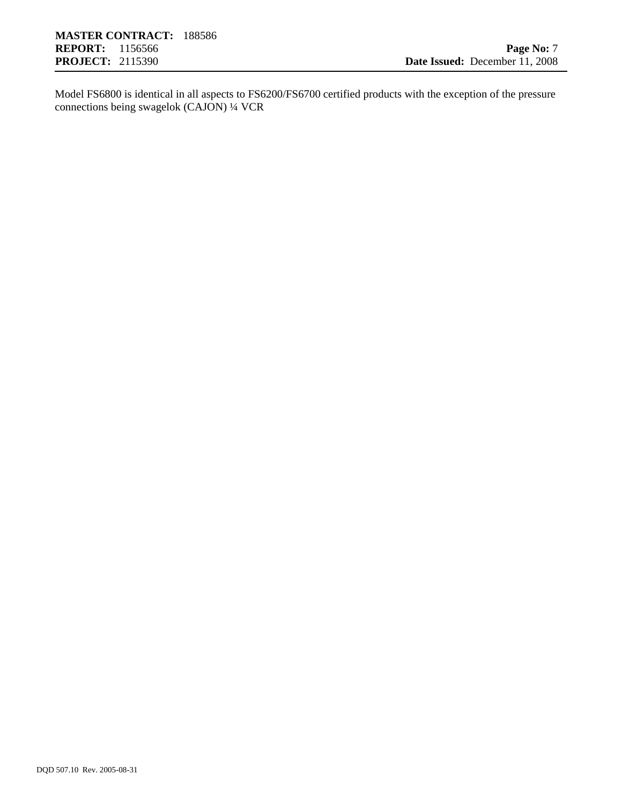Model FS6800 is identical in all aspects to FS6200/FS6700 certified products with the exception of the pressure connections being swagelok (CAJON) ¼ VCR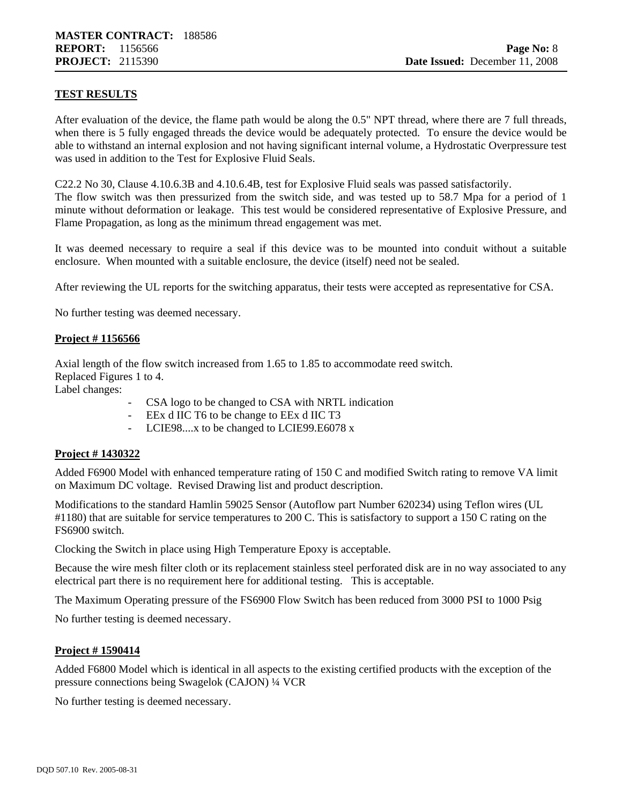#### **TEST RESULTS**

After evaluation of the device, the flame path would be along the 0.5" NPT thread, where there are 7 full threads, when there is 5 fully engaged threads the device would be adequately protected. To ensure the device would be able to withstand an internal explosion and not having significant internal volume, a Hydrostatic Overpressure test was used in addition to the Test for Explosive Fluid Seals.

C22.2 No 30, Clause 4.10.6.3B and 4.10.6.4B, test for Explosive Fluid seals was passed satisfactorily. The flow switch was then pressurized from the switch side, and was tested up to 58.7 Mpa for a period of 1 minute without deformation or leakage. This test would be considered representative of Explosive Pressure, and Flame Propagation, as long as the minimum thread engagement was met.

It was deemed necessary to require a seal if this device was to be mounted into conduit without a suitable enclosure. When mounted with a suitable enclosure, the device (itself) need not be sealed.

After reviewing the UL reports for the switching apparatus, their tests were accepted as representative for CSA.

No further testing was deemed necessary.

#### **Project # 1156566**

Axial length of the flow switch increased from 1.65 to 1.85 to accommodate reed switch. Replaced Figures 1 to 4.

- Label changes:
	- CSA logo to be changed to CSA with NRTL indication
	- EEx d IIC T6 to be change to EEx d IIC T3
	- LCIE98....x to be changed to LCIE99.E6078 x

#### **Project # 1430322**

Added F6900 Model with enhanced temperature rating of 150 C and modified Switch rating to remove VA limit on Maximum DC voltage. Revised Drawing list and product description.

Modifications to the standard Hamlin 59025 Sensor (Autoflow part Number 620234) using Teflon wires (UL #1180) that are suitable for service temperatures to 200 C. This is satisfactory to support a 150 C rating on the FS6900 switch.

Clocking the Switch in place using High Temperature Epoxy is acceptable.

Because the wire mesh filter cloth or its replacement stainless steel perforated disk are in no way associated to any electrical part there is no requirement here for additional testing. This is acceptable.

The Maximum Operating pressure of the FS6900 Flow Switch has been reduced from 3000 PSI to 1000 Psig

No further testing is deemed necessary.

#### **Project # 1590414**

Added F6800 Model which is identical in all aspects to the existing certified products with the exception of the pressure connections being Swagelok (CAJON) ¼ VCR

No further testing is deemed necessary.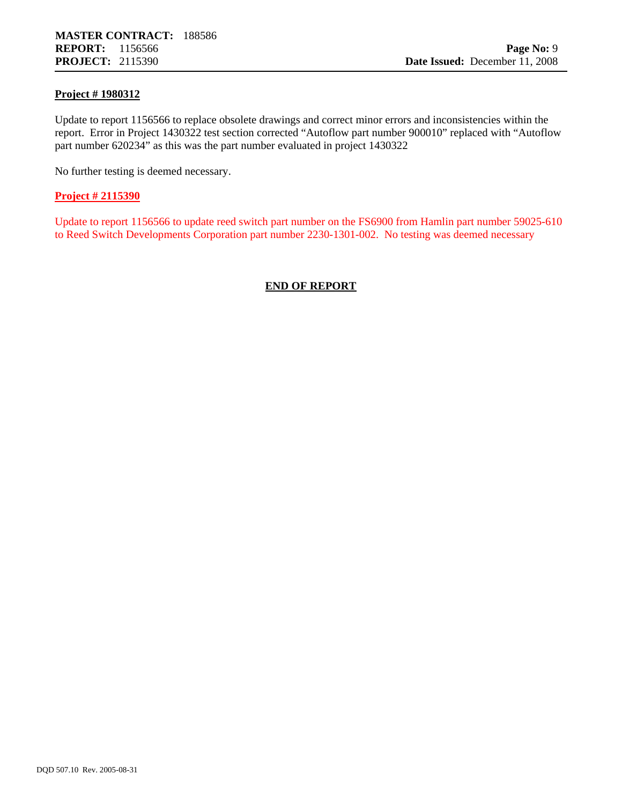#### **Project # 1980312**

Update to report 1156566 to replace obsolete drawings and correct minor errors and inconsistencies within the report. Error in Project 1430322 test section corrected "Autoflow part number 900010" replaced with "Autoflow part number 620234" as this was the part number evaluated in project 1430322

No further testing is deemed necessary.

#### **Project # 2115390**

Update to report 1156566 to update reed switch part number on the FS6900 from Hamlin part number 59025-610 to Reed Switch Developments Corporation part number 2230-1301-002. No testing was deemed necessary

#### **END OF REPORT**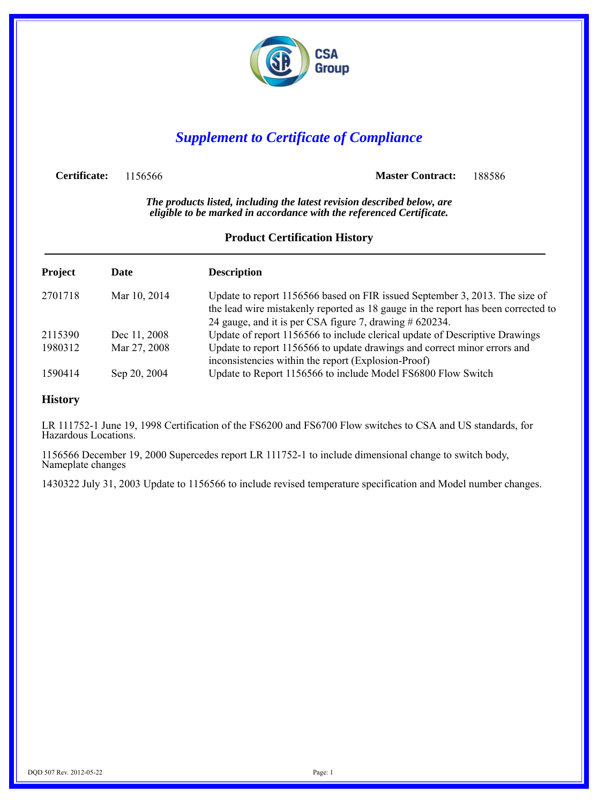

### *Supplement to Certificate of Compliance*

**Certificate:** 1156566 **Master Contract:** 188586

*The products listed, including the latest revision described below, are eligible to be marked in accordance with the referenced Certificate.*

#### **Product Certification History**

| Project | Date         | <b>Description</b>                                                                                                                                                                                                          |
|---------|--------------|-----------------------------------------------------------------------------------------------------------------------------------------------------------------------------------------------------------------------------|
| 2701718 | Mar 10, 2014 | Update to report 1156566 based on FIR issued September 3, 2013. The size of<br>the lead wire mistakenly reported as 18 gauge in the report has been corrected to<br>24 gauge, and it is per CSA figure 7, drawing # 620234. |
| 2115390 | Dec 11, 2008 | Update of report 1156566 to include clerical update of Descriptive Drawings                                                                                                                                                 |
| 1980312 | Mar 27, 2008 | Update to report 1156566 to update drawings and correct minor errors and<br>inconsistencies within the report (Explosion-Proof)                                                                                             |
| 1590414 | Sep 20, 2004 | Update to Report 1156566 to include Model FS6800 Flow Switch                                                                                                                                                                |

#### **History**

LR 111752-1 June 19, 1998 Certification of the FS6200 and FS6700 Flow switches to CSA and US standards, for Hazardous Locations.

1156566 December 19, 2000 Supercedes report LR 111752-1 to include dimensional change to switch body, Nameplate changes

1430322 July 31, 2003 Update to 1156566 to include revised temperature specification and Model number changes.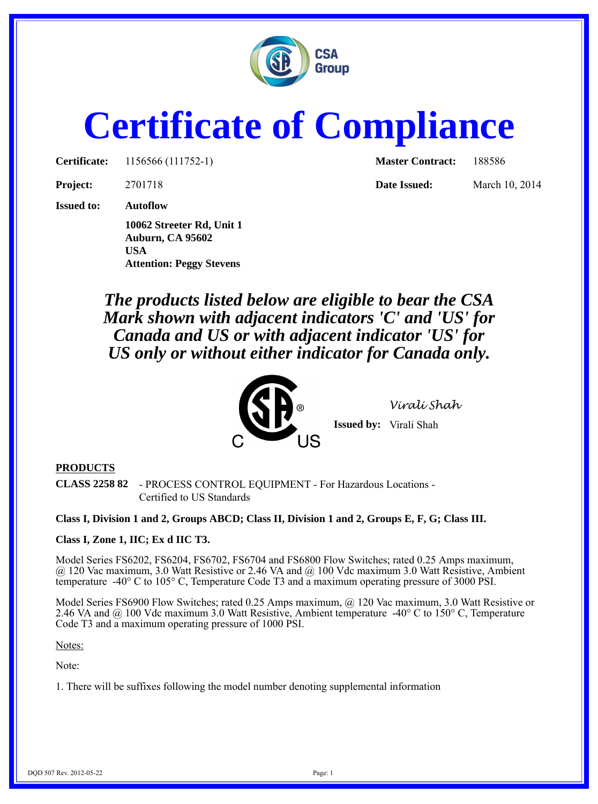

## **Certificate of Compliance**

**Certificate:** 1156566 (111752-1) **Master Contract:** 188586

**Project:** 2701718 **Date Issued:** March 10, 2014

**Issued to: Autoflow**

**10062 Streeter Rd, Unit 1 Auburn, CA 95602 USA Attention: Peggy Stevens**

*The products listed below are eligible to bear the CSA Mark shown with adjacent indicators 'C' and 'US' for Canada and US or with adjacent indicator 'US' for US only or without either indicator for Canada only.*



*Virali Shah*

**Issued by:** Virali Shah

#### **PRODUCTS**

**CLASS 2258 82** - PROCESS CONTROL EQUIPMENT - For Hazardous Locations - Certified to US Standards

**Class I, Division 1 and 2, Groups ABCD; Class II, Division 1 and 2, Groups E, F, G; Class III.**

#### **Class I, Zone 1, IIC; Ex d IIC T3.**

Model Series FS6202, FS6204, FS6702, FS6704 and FS6800 Flow Switches; rated 0.25 Amps maximum, @ 120 Vac maximum, 3.0 Watt Resistive or 2.46 VA and @ 100 Vdc maximum 3.0 Watt Resistive, Ambient temperature -40° C to 105° C, Temperature Code T3 and a maximum operating pressure of 3000 PSI.

Model Series FS6900 Flow Switches; rated 0.25 Amps maximum, @ 120 Vac maximum, 3.0 Watt Resistive or 2.46 VA and  $\omega$  100 Vdc maximum 3.0 Watt Resistive, Ambient temperature -40 $\degree$ C to 150 $\degree$ C, Temperature Code T3 and a maximum operating pressure of 1000 PSI.

Notes:

Note:

1. There will be suffixes following the model number denoting supplemental information